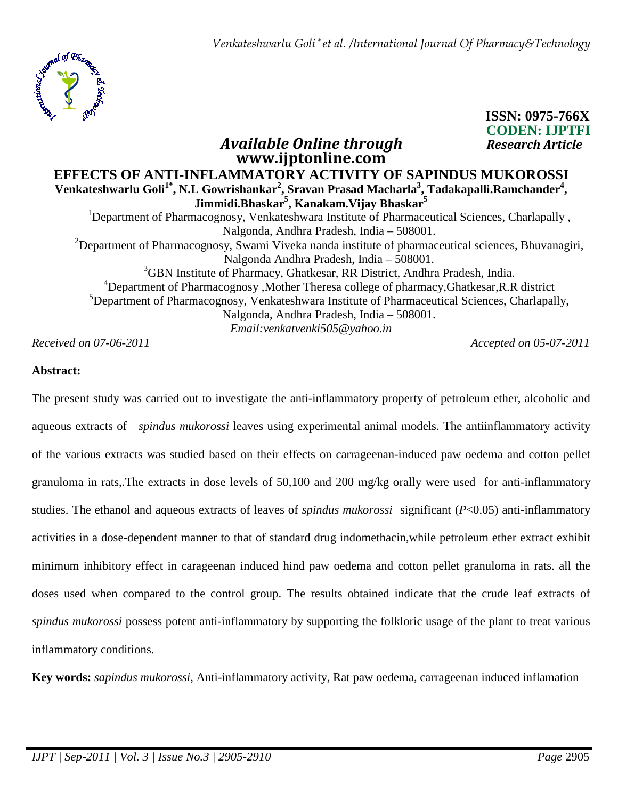

# **ISSN: 0975-766X CODEN: IJPTFI**  *Available Online through* Research Article

## **www.ijptonline.com EFFECTS OF ANTI-INFLAMMATORY ACTIVITY OF SAPINDUS MUKOROSSI Venkateshwarlu Goli1\*, N.L Gowrishankar<sup>2</sup> , Sravan Prasad Macharla<sup>3</sup> , Tadakapalli.Ramchander<sup>4</sup> , Jimmidi.Bhaskar<sup>5</sup> , Kanakam.Vijay Bhaskar<sup>5</sup>** <sup>1</sup>Department of Pharmacognosy, Venkateshwara Institute of Pharmaceutical Sciences, Charlapally, Nalgonda, Andhra Pradesh, India – 508001. <sup>2</sup>Department of Pharmacognosy, Swami Viveka nanda institute of pharmaceutical sciences, Bhuvanagiri, Nalgonda Andhra Pradesh, India – 508001. <sup>3</sup>GBN Institute of Pharmacy, Ghatkesar, RR District, Andhra Pradesh, India. <sup>4</sup>Department of Pharmacognosy, Mother Theresa college of pharmacy, Ghatkesar, R.R district  ${}^{5}$ Department of Pharmacognosy, Venkateshwara Institute of Pharmaceutical Sciences, Charlapally, Nalgonda, Andhra Pradesh, India – 508001.

*Email:venkatvenki505@yahoo.in*

*Received on 07-06-2011 Accepted on 05-07-2011*

### **Abstract:**

The present study was carried out to investigate the anti-inflammatory property of petroleum ether, alcoholic and aqueous extracts of *spindus mukorossi* leaves using experimental animal models. The antiinflammatory activity of the various extracts was studied based on their effects on carrageenan-induced paw oedema and cotton pellet granuloma in rats,.The extracts in dose levels of 50,100 and 200 mg/kg orally were used for anti-inflammatory studies. The ethanol and aqueous extracts of leaves of *spindus mukorossi* significant (*P*<0.05) anti-inflammatory activities in a dose-dependent manner to that of standard drug indomethacin,while petroleum ether extract exhibit minimum inhibitory effect in carageenan induced hind paw oedema and cotton pellet granuloma in rats. all the doses used when compared to the control group. The results obtained indicate that the crude leaf extracts of *spindus mukorossi* possess potent anti-inflammatory by supporting the folkloric usage of the plant to treat various inflammatory conditions.

**Key words:** *sapindus mukorossi*, Anti-inflammatory activity, Rat paw oedema, carrageenan induced inflamation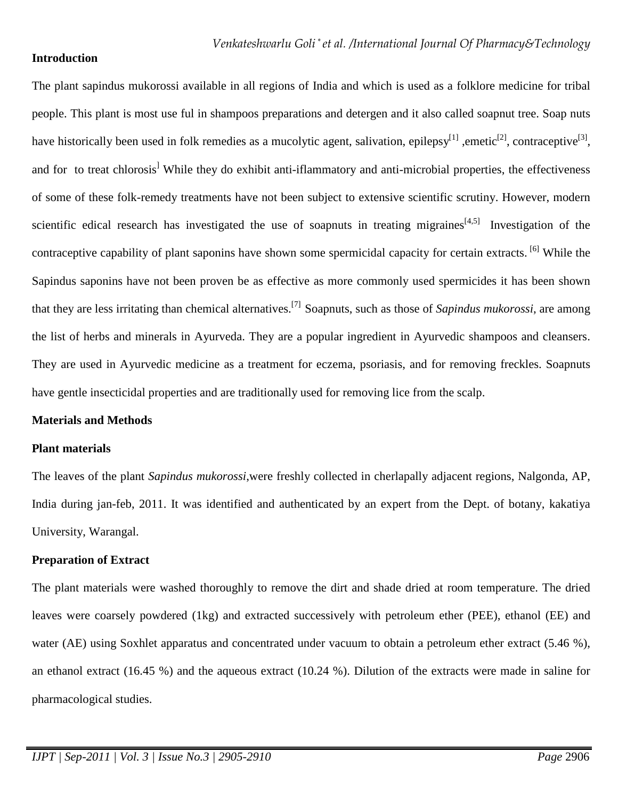### **Introduction**

The plant sapindus mukorossi available in all regions of India and which is used as a folklore medicine for tribal people. This plant is most use ful in shampoos preparations and detergen and it also called soapnut tree. Soap nuts have historically been used in folk remedies as a mucolytic agent, salivation, epilepsy<sup>[1]</sup>, emetic<sup>[2]</sup>, contraceptive<sup>[3]</sup>, and for to treat chlorosis<sup>1</sup> While they do exhibit anti-iflammatory and anti-microbial properties, the effectiveness of some of these folk-remedy treatments have not been subject to extensive scientific scrutiny. However, modern scientific edical research has investigated the use of soapnuts in treating migraines<sup>[4,5]</sup> Investigation of the contraceptive capability of plant saponins have shown some spermicidal capacity for certain extracts. <sup>[6]</sup> While the Sapindus saponins have not been proven be as effective as more commonly used spermicides it has been shown that they are less irritating than chemical alternatives.[7] Soapnuts, such as those of *Sapindus mukorossi*, are among the list of herbs and minerals in Ayurveda. They are a popular ingredient in Ayurvedic shampoos and cleansers. They are used in Ayurvedic medicine as a treatment for eczema, psoriasis, and for removing freckles. Soapnuts have gentle insecticidal properties and are traditionally used for removing lice from the scalp.

### **Materials and Methods**

### **Plant materials**

The leaves of the plant *Sapindus mukorossi*,were freshly collected in cherlapally adjacent regions, Nalgonda, AP, India during jan-feb, 2011. It was identified and authenticated by an expert from the Dept. of botany, kakatiya University, Warangal.

### **Preparation of Extract**

The plant materials were washed thoroughly to remove the dirt and shade dried at room temperature. The dried leaves were coarsely powdered (1kg) and extracted successively with petroleum ether (PEE), ethanol (EE) and water (AE) using Soxhlet apparatus and concentrated under vacuum to obtain a petroleum ether extract (5.46 %), an ethanol extract (16.45 %) and the aqueous extract (10.24 %). Dilution of the extracts were made in saline for pharmacological studies.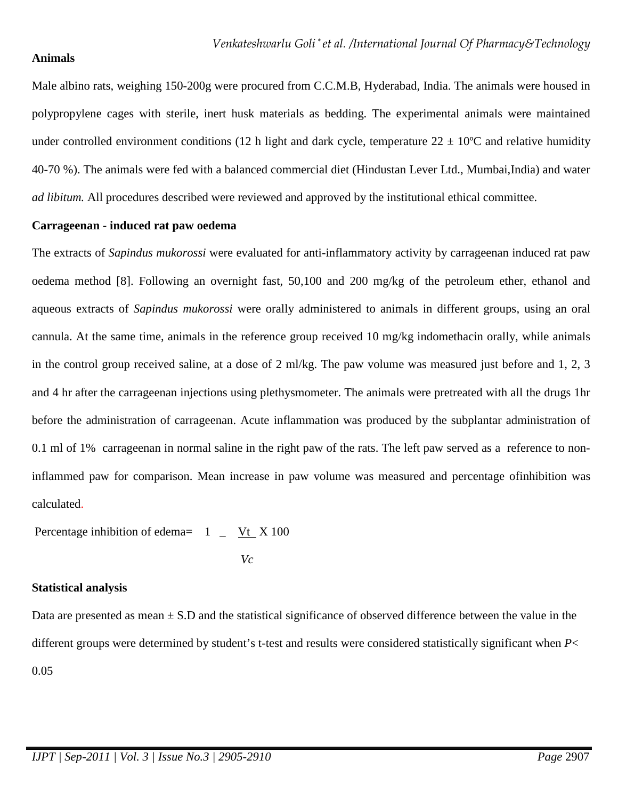## **Animals**

Male albino rats, weighing 150-200g were procured from C.C.M.B, Hyderabad, India. The animals were housed in polypropylene cages with sterile, inert husk materials as bedding. The experimental animals were maintained under controlled environment conditions (12 h light and dark cycle, temperature  $22 \pm 10^{\circ}$ C and relative humidity 40-70 %). The animals were fed with a balanced commercial diet (Hindustan Lever Ltd., Mumbai,India) and water *ad libitum.* All procedures described were reviewed and approved by the institutional ethical committee.

## **Carrageenan - induced rat paw oedema**

The extracts of *Sapindus mukorossi* were evaluated for anti-inflammatory activity by carrageenan induced rat paw oedema method [8]. Following an overnight fast, 50,100 and 200 mg/kg of the petroleum ether, ethanol and aqueous extracts of *Sapindus mukorossi* were orally administered to animals in different groups, using an oral cannula. At the same time, animals in the reference group received 10 mg/kg indomethacin orally, while animals in the control group received saline, at a dose of 2 ml/kg. The paw volume was measured just before and 1, 2, 3 and 4 hr after the carrageenan injections using plethysmometer. The animals were pretreated with all the drugs 1hr before the administration of carrageenan. Acute inflammation was produced by the subplantar administration of 0.1 ml of 1% carrageenan in normal saline in the right paw of the rats. The left paw served as a reference to noninflammed paw for comparison. Mean increase in paw volume was measured and percentage ofinhibition was calculated.

Percentage inhibition of edema=  $1 - Vt X 100$ 

 *Vc* 

### **Statistical analysis**

Data are presented as mean  $\pm$  S.D and the statistical significance of observed difference between the value in the different groups were determined by student's t-test and results were considered statistically significant when *P*< 0.05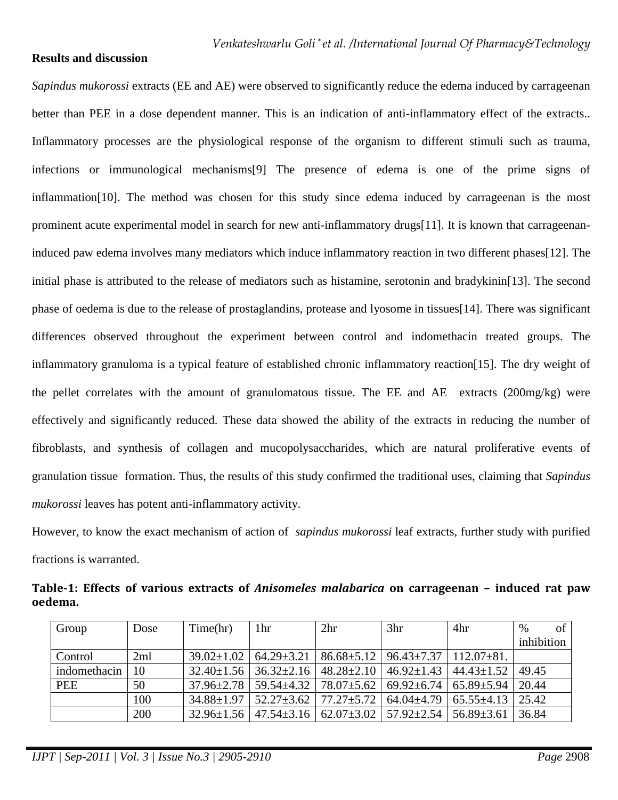## **Results and discussion**

*Sapindus mukorossi* extracts (EE and AE) were observed to significantly reduce the edema induced by carrageenan better than PEE in a dose dependent manner. This is an indication of anti-inflammatory effect of the extracts.. Inflammatory processes are the physiological response of the organism to different stimuli such as trauma, infections or immunological mechanisms[9] The presence of edema is one of the prime signs of inflammation[10]. The method was chosen for this study since edema induced by carrageenan is the most prominent acute experimental model in search for new anti-inflammatory drugs[11]. It is known that carrageenaninduced paw edema involves many mediators which induce inflammatory reaction in two different phases[12]. The initial phase is attributed to the release of mediators such as histamine, serotonin and bradykinin[13]. The second phase of oedema is due to the release of prostaglandins, protease and lyosome in tissues[14]. There was significant differences observed throughout the experiment between control and indomethacin treated groups. The inflammatory granuloma is a typical feature of established chronic inflammatory reaction[15]. The dry weight of the pellet correlates with the amount of granulomatous tissue. The EE and AE extracts (200mg/kg) were effectively and significantly reduced. These data showed the ability of the extracts in reducing the number of fibroblasts, and synthesis of collagen and mucopolysaccharides, which are natural proliferative events of granulation tissue formation. Thus, the results of this study confirmed the traditional uses, claiming that *Sapindus mukorossi* leaves has potent anti-inflammatory activity.

However, to know the exact mechanism of action of *sapindus mukorossi* leaf extracts, further study with purified fractions is warranted.

| Group        | Dose | Time(hr)         | 1 <sup>hr</sup>                     | 2 <sup>hr</sup>                     | 3 <sub>hr</sub>  | 4 <sup>hr</sup>  | of<br>$\%$ |
|--------------|------|------------------|-------------------------------------|-------------------------------------|------------------|------------------|------------|
|              |      |                  |                                     |                                     |                  |                  | inhibition |
| Control      | 2ml  | $39.02 \pm 1.02$ | $64.29 \pm 3.21$                    | $86.68 \pm 5.12$                    | $96.43 \pm 7.37$ | $112.07\pm81.$   |            |
| indomethacin | 10   |                  | $32.40 \pm 1.56$   $36.32 \pm 2.16$ | $48.28 \pm 2.10$                    | $46.92 \pm 1.43$ | $44.43 \pm 1.52$ | 49.45      |
| <b>PEE</b>   | 50   | $37.96 \pm 2.78$ | $59.54 \pm 4.32$                    | $78.07 \pm 5.62$ 69.92 $\pm 6.74$   |                  | $65.89 \pm 5.94$ | 20.44      |
|              | 100  | $34.88 \pm 1.97$ | $\frac{52.27 \pm 3.62}{ }$          | $77.27 \pm 5.72$                    | $64.04 \pm 4.79$ | $65.55 \pm 4.13$ | 25.42      |
|              | 200  | $32.96 \pm 1.56$ | $147.54 \pm 3.16$                   | $62.07 \pm 3.02$   $57.92 \pm 2.54$ |                  | $56.89 \pm 3.61$ | 36.84      |

**Table-1: Effects of various extracts of** *Anisomeles malabarica* **on carrageenan – induced rat paw oedema.**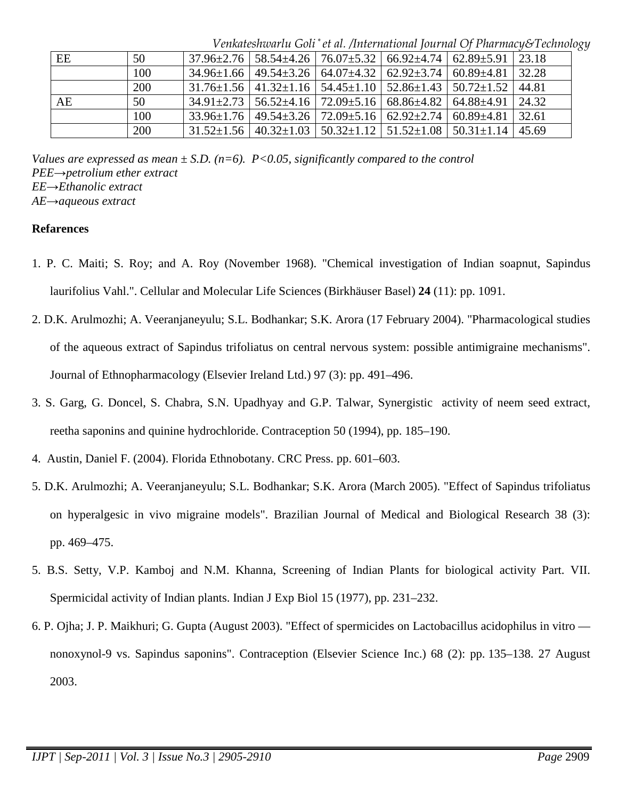*Venkateshwarlu Goli \* et al. /International Journal Of Pharmacy&Technology*

| EE | 50  | $37.96\pm2.76$   $58.54\pm4.26$   $76.07\pm5.32$   $66.92\pm4.74$   $62.89\pm5.91$   23.18     |  |       |
|----|-----|------------------------------------------------------------------------------------------------|--|-------|
|    | 100 | $34.96\pm1.66$   49.54 $\pm3.26$   64.07 $\pm4.32$   62.92 $\pm3.74$   60.89 $\pm4.81$         |  | 32.28 |
|    | 200 | $31.76 \pm 1.56$   41.32 $\pm$ 1.16   54.45 $\pm$ 1.10   52.86 $\pm$ 1.43   50.72 $\pm$ 1.52   |  | 44.81 |
| AE | 50  | $34.91\pm2.73$   56.52 $\pm4.16$   72.09 $\pm5.16$   68.86 $\pm4.82$   64.88 $\pm4.91$   24.32 |  |       |
|    | 100 | $33.96\pm1.76$   49.54 $\pm3.26$   72.09 $\pm5.16$   62.92 $\pm2.74$   60.89 $\pm4.81$         |  | 32.61 |
|    | 200 | $31.52\pm1.56$   40.32 $\pm1.03$   50.32 $\pm1.12$   51.52 $\pm1.08$   50.31 $\pm1.14$         |  | 45.69 |

*Values are expressed as mean*  $\pm$  *S.D.* ( $n=6$ ).  $P<0.05$ , significantly compared to the control *PEE→petrolium ether extract EE→Ethanolic extract AE→aqueous extract* 

### **Refarences**

- 1. P. C. Maiti; S. Roy; and A. Roy (November 1968). "Chemical investigation of Indian soapnut, Sapindus laurifolius Vahl.". Cellular and Molecular Life Sciences (Birkhäuser Basel) **24** (11): pp. 1091.
- 2. D.K. Arulmozhi; A. Veeranjaneyulu; S.L. Bodhankar; S.K. Arora (17 February 2004). "Pharmacological studies of the aqueous extract of Sapindus trifoliatus on central nervous system: possible antimigraine mechanisms". Journal of Ethnopharmacology (Elsevier Ireland Ltd.) 97 (3): pp. 491–496.
- 3. S. Garg, G. Doncel, S. Chabra, S.N. Upadhyay and G.P. Talwar, Synergistic activity of neem seed extract, reetha saponins and quinine hydrochloride. Contraception 50 (1994), pp. 185–190.
- 4. Austin, Daniel F. (2004). Florida Ethnobotany. CRC Press. pp. 601–603.
- 5. D.K. Arulmozhi; A. Veeranjaneyulu; S.L. Bodhankar; S.K. Arora (March 2005). "Effect of Sapindus trifoliatus on hyperalgesic in vivo migraine models". Brazilian Journal of Medical and Biological Research 38 (3): pp. 469–475.
- 5. B.S. Setty, V.P. Kamboj and N.M. Khanna, Screening of Indian Plants for biological activity Part. VII. Spermicidal activity of Indian plants. Indian J Exp Biol 15 (1977), pp. 231–232.
- 6. P. Ojha; J. P. Maikhuri; G. Gupta (August 2003). "Effect of spermicides on Lactobacillus acidophilus in vitro nonoxynol-9 vs. Sapindus saponins". Contraception (Elsevier Science Inc.) 68 (2): pp. 135–138. 27 August 2003.